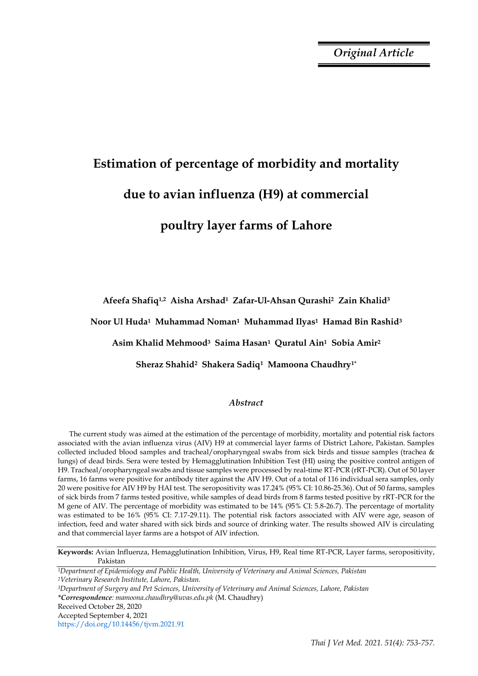*Original Article*

# **Estimation of percentage of morbidity and mortality due to avian influenza (H9) at commercial**

## **poultry layer farms of Lahore**

**Afeefa Shafiq1,2 Aisha Arshad1 Zafar-Ul-Ahsan Qurashi2 Zain Khalid<sup>3</sup>** 

**Noor Ul Huda1 Muhammad Noman1 Muhammad Ilyas1 Hamad Bin Rashid<sup>3</sup>** 

**Asim Khalid Mehmood3 Saima Hasan1 Quratul Ain1 Sobia Amir<sup>2</sup>** 

**Sheraz Shahid2 Shakera Sadiq1 Mamoona Chaudhry1\***

### *Abstract*

The current study was aimed at the estimation of the percentage of morbidity, mortality and potential risk factors associated with the avian influenza virus (AIV) H9 at commercial layer farms of District Lahore, Pakistan. Samples collected included blood samples and tracheal/oropharyngeal swabs from sick birds and tissue samples (trachea & lungs) of dead birds. Sera were tested by Hemagglutination Inhibition Test (HI) using the positive control antigen of H9. Tracheal/oropharyngeal swabs and tissue samples were processed by real-time RT-PCR (rRT-PCR). Out of 50 layer farms, 16 farms were positive for antibody titer against the AIV H9. Out of a total of 116 individual sera samples, only 20 were positive for AIV H9 by HAI test. The seropositivity was 17.24% (95% CI: 10.86-25.36). Out of 50 farms, samples of sick birds from 7 farms tested positive, while samples of dead birds from 8 farms tested positive by rRT-PCR for the M gene of AIV. The percentage of morbidity was estimated to be 14% (95% CI: 5.8-26.7). The percentage of mortality was estimated to be 16% (95% CI: 7.17-29.11). The potential risk factors associated with AIV were age, season of infection, feed and water shared with sick birds and source of drinking water. The results showed AIV is circulating and that commercial layer farms are a hotspot of AIV infection.

**Keywords:** Avian Influenza, Hemagglutination Inhibition, Virus, H9, Real time RT-PCR, Layer farms, seropositivity, Pakistan

*<sup>1</sup>Department of Epidemiology and Public Health, University of Veterinary and Animal Sciences, Pakistan <sup>2</sup>Veterinary Research Institute, Lahore, Pakistan. <sup>3</sup>Department of Surgery and Pet Sciences, University of Veterinary and Animal Sciences, Lahore, Pakistan \*Correspondence: mamoona.chaudhry@uvas.edu.pk* (M. Chaudhry) Received October 28, 2020

Accepted September 4, 2021

https://doi.org/10.14456/tjvm.2021.91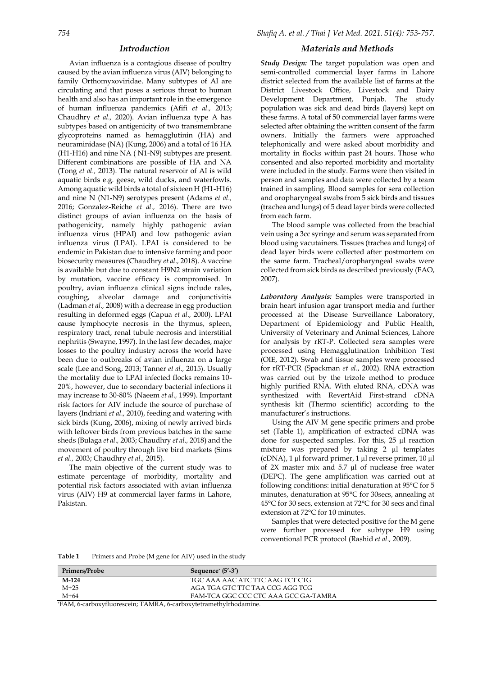#### *Introduction*

Avian influenza is a contagious disease of poultry caused by the avian influenza virus (AIV) belonging to family Orthomyxoviridae. Many subtypes of AI are circulating and that poses a serious threat to human health and also has an important role in the emergence of human influenza pandemics (Afifi *et al.,* 2013; Chaudhry *et al.,* 2020). Avian influenza type A has subtypes based on antigenicity of two transmembrane glycoproteins named as hemagglutinin (HA) and neuraminidase (NA) (Kung, 2006) and a total of 16 HA (H1-H16) and nine NA ( N1-N9) subtypes are present. Different combinations are possible of HA and NA (Tong *et al.,* 2013). The natural reservoir of AI is wild aquatic birds e.g. geese, wild ducks, and waterfowls. Among aquatic wild birds a total of sixteen H (H1-H16) and nine N (N1-N9) serotypes present (Adams *et al.,* 2016; Gonzalez-Reiche *et al.,* 2016). There are two distinct groups of avian influenza on the basis of pathogenicity, namely highly pathogenic avian influenza virus (HPAI) and low pathogenic avian influenza virus (LPAI). LPAI is considered to be endemic in Pakistan due to intensive farming and poor biosecurity measures (Chaudhry *et al.,* 2018). A vaccine is available but due to constant H9N2 strain variation by mutation, vaccine efficacy is compromised. In poultry, avian influenza clinical signs include rales, coughing, alveolar damage and conjunctivitis (Ladman *et al.,* 2008) with a decrease in egg production resulting in deformed eggs (Capua *et al.,* 2000). LPAI cause lymphocyte necrosis in the thymus, spleen, respiratory tract, renal tubule necrosis and interstitial nephritis (Swayne, 1997). In the last few decades, major losses to the poultry industry across the world have been due to outbreaks of avian influenza on a large scale (Lee and Song, 2013; Tanner *et al.,* 2015). Usually the mortality due to LPAI infected flocks remains 10- 20%, however, due to secondary bacterial infections it may increase to 30-80% (Naeem *et al.,* 1999). Important risk factors for AIV include the source of purchase of layers (Indriani *et al.,* 2010), feeding and watering with sick birds (Kung, 2006), mixing of newly arrived birds with leftover birds from previous batches in the same sheds (Bulaga *et al.,* 2003; Chaudhry *et al.,* 2018) and the movement of poultry through live bird markets (Sims *et al.,* 2003; Chaudhry *et al.,* 2015).

The main objective of the current study was to estimate percentage of morbidity, mortality and potential risk factors associated with avian influenza virus (AIV) H9 at commercial layer farms in Lahore, Pakistan.

#### *Materials and Methods*

*Study Design:* The target population was open and semi-controlled commercial layer farms in Lahore district selected from the available list of farms at the District Livestock Office, Livestock and Dairy Development Department, Punjab. The study population was sick and dead birds (layers) kept on these farms. A total of 50 commercial layer farms were selected after obtaining the written consent of the farm owners. Initially the farmers were approached telephonically and were asked about morbidity and mortality in flocks within past 24 hours. Those who consented and also reported morbidity and mortality were included in the study. Farms were then visited in person and samples and data were collected by a team trained in sampling. Blood samples for sera collection and oropharyngeal swabs from 5 sick birds and tissues (trachea and lungs) of 5 dead layer birds were collected from each farm.

The blood sample was collected from the brachial vein using a 3cc syringe and serum was separated from blood using vacutainers. Tissues (trachea and lungs) of dead layer birds were collected after postmortem on the same farm. Tracheal/oropharyngeal swabs were collected from sick birds as described previously (FAO, 2007).

*Laboratory Analysis:* Samples were transported in brain heart infusion agar transport media and further processed at the Disease Surveillance Laboratory, Department of Epidemiology and Public Health, University of Veterinary and Animal Sciences, Lahore for analysis by rRT-P. Collected sera samples were processed using Hemagglutination Inhibition Test (OIE, 2012). Swab and tissue samples were processed for rRT-PCR (Spackman *et al*., 2002). RNA extraction was carried out by the trizole method to produce highly purified RNA. With eluted RNA, cDNA was synthesized with RevertAid First-strand cDNA synthesis kit (Thermo scientific) according to the manufacturer's instructions.

Using the AIV M gene specific primers and probe set (Table 1), amplification of extracted cDNA was done for suspected samples. For this, 25 µl reaction mixture was prepared by taking 2 µl templates (cDNA), 1 µl forward primer, 1 µl reverse primer, 10 µl of 2X master mix and 5.7 µl of nuclease free water (DEPC). The gene amplification was carried out at following conditions: initial denaturation at 95°C for 5 minutes, denaturation at 95°C for 30secs, annealing at 45°C for 30 secs, extension at 72°C for 30 secs and final extension at 72°C for 10 minutes.

Samples that were detected positive for the M gene were further processed for subtype H9 using conventional PCR protocol (Rashid *et al.,* 2009).

| Table 1 |  |  | Primers and Probe (M gene for AIV) used in the study |
|---------|--|--|------------------------------------------------------|
|---------|--|--|------------------------------------------------------|

| Primers/Probe | Sequence $(5'$ -3')                  |
|---------------|--------------------------------------|
| $M-124$       | TGC AAA AAC ATC TTC AAG TCT CTG      |
| $M+25$        | AGA TGA GTC TTC TAA CCG AGG TCG      |
| $M + 64$      | FAM-TCA GGC CCC CTC AAA GCC GA-TAMRA |

\*FAM, 6-carboxyfluorescein; TAMRA, 6-carboxytetramethylrhodamine.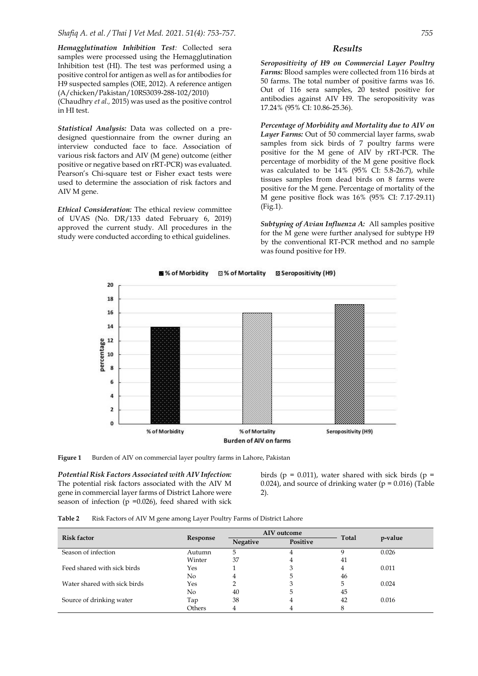*Shafiq A. et al. / Thai J Vet Med. 2021. 51(4): 753-757. 755*

*Hemagglutination Inhibition Test:* Collected sera samples were processed using the Hemagglutination Inhibition test (HI). The test was performed using a positive control for antigen as well as for antibodies for H9 suspected samples (OIE, 2012). A reference antigen (A/chicken/Pakistan/10RS3039-288-102/2010)

(Chaudhry *et al.,* 2015) was used as the positive control in HI test.

*Statistical Analysis:* Data was collected on a predesigned questionnaire from the owner during an interview conducted face to face. Association of various risk factors and AIV (M gene) outcome (either positive or negative based on rRT-PCR) was evaluated. Pearson's Chi-square test or Fisher exact tests were used to determine the association of risk factors and AIV M gene.

*Ethical Consideration:* The ethical review committee of UVAS (No. DR/133 dated February 6, 2019) approved the current study. All procedures in the study were conducted according to ethical guidelines.

#### *Results*

*Seropositivity of H9 on Commercial Layer Poultry Farms:* Blood samples were collected from 116 birds at 50 farms. The total number of positive farms was 16. Out of 116 sera samples, 20 tested positive for antibodies against AIV H9. The seropositivity was 17.24% (95% CI: 10.86-25.36).

*Percentage of Morbidity and Mortality due to AIV on Layer Farms:* Out of 50 commercial layer farms, swab samples from sick birds of 7 poultry farms were positive for the M gene of AIV by rRT-PCR. The percentage of morbidity of the M gene positive flock was calculated to be 14% (95% CI: 5.8-26.7), while tissues samples from dead birds on 8 farms were positive for the M gene. Percentage of mortality of the M gene positive flock was 16% (95% CI: 7.17-29.11) (Fig.1).

*Subtyping of Avian Influenza A:* All samples positive for the M gene were further analysed for subtype H9 by the conventional RT-PCR method and no sample was found positive for H9.

20 18 16  $14$  $12$ percentage 10  $\overline{8}$ 6  $\overline{4}$  $\overline{\mathbf{2}}$  $\mathbf 0$ Seropositivity (H9) % of Morbidity % of Mortality **Burden of AIV on farms** 

% of Morbidity ⊠% of Mortality **Z** Seropositivity (H9)

Figure 1 Burden of AIV on commercial layer poultry farms in Lahore, Pakistan

*Potential Risk Factors Associated with AIV Infection:*  The potential risk factors associated with the AIV M gene in commercial layer farms of District Lahore were season of infection  $(p = 0.026)$ , feed shared with sick

birds ( $p = 0.011$ ), water shared with sick birds ( $p =$ 0.024), and source of drinking water ( $p = 0.016$ ) (Table 2).

**Table 2** Risk Factors of AIV M gene among Layer Poultry Farms of District Lahore

| <b>Risk factor</b>           | Response | AIV outcome |          |       |         |
|------------------------------|----------|-------------|----------|-------|---------|
|                              |          | Negative    | Positive | Total | p-value |
| Season of infection          | Autumn   | 5.          | 4        |       | 0.026   |
|                              | Winter   | 37          | 4        | 41    |         |
| Feed shared with sick birds  | Yes      |             | 3        | 4     | 0.011   |
|                              | No       | 4           | Ⴢ        | 46    |         |
| Water shared with sick birds | Yes      |             | 3        | 5     | 0.024   |
|                              | No       | 40          | 5.       | 45    |         |
| Source of drinking water     | Tap      | 38          | 4        | 42    | 0.016   |
|                              | Others   |             |          | 8     |         |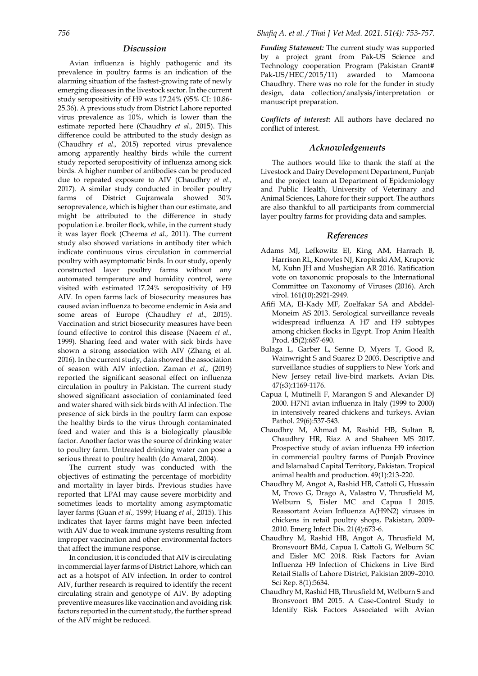#### *Discussion*

Avian influenza is highly pathogenic and its prevalence in poultry farms is an indication of the alarming situation of the fastest-growing rate of newly emerging diseases in the livestock sector. In the current study seropositivity of H9 was 17.24% (95% CI: 10.86- 25.36). A previous study from District Lahore reported virus prevalence as 10%, which is lower than the estimate reported here (Chaudhry *et al.,* 2015). This difference could be attributed to the study design as (Chaudhry *et al.,* 2015) reported virus prevalence among apparently healthy birds while the current study reported seropositivity of influenza among sick birds. A higher number of antibodies can be produced due to repeated exposure to AIV (Chaudhry *et al.,* 2017). A similar study conducted in broiler poultry farms of District Gujranwala showed 30% seroprevalence, which is higher than our estimate, and might be attributed to the difference in study population i.e. broiler flock, while, in the current study it was layer flock (Cheema *et al.,* 2011). The current study also showed variations in antibody titer which indicate continuous virus circulation in commercial poultry with asymptomatic birds. In our study, openly constructed layer poultry farms without any automated temperature and humidity control, were visited with estimated 17.24% seropositivity of H9 AIV. In open farms lack of biosecurity measures has caused avian influenza to become endemic in Asia and some areas of Europe (Chaudhry *et al.,* 2015). Vaccination and strict biosecurity measures have been found effective to control this disease (Naeem *et al.,* 1999). Sharing feed and water with sick birds have shown a strong association with AIV (Zhang et al. 2016). In the current study, data showed the association of season with AIV infection. Zaman *et al.,* (2019) reported the significant seasonal effect on influenza circulation in poultry in Pakistan. The current study showed significant association of contaminated feed and water shared with sick birds with AI infection. The presence of sick birds in the poultry farm can expose the healthy birds to the virus through contaminated feed and water and this is a biologically plausible factor. Another factor was the source of drinking water to poultry farm. Untreated drinking water can pose a serious threat to poultry health (do Amaral, 2004).

The current study was conducted with the objectives of estimating the percentage of morbidity and mortality in layer birds. Previous studies have reported that LPAI may cause severe morbidity and sometimes leads to mortality among asymptomatic layer farms (Guan *et al.,* 1999; Huang *et al.,* 2015). This indicates that layer farms might have been infected with AIV due to weak immune systems resulting from improper vaccination and other environmental factors that affect the immune response.

In conclusion, it is concluded that AIV is circulating in commercial layer farms of District Lahore, which can act as a hotspot of AIV infection. In order to control AIV, further research is required to identify the recent circulating strain and genotype of AIV. By adopting preventive measures like vaccination and avoiding risk factors reported in the current study, the further spread of the AIV might be reduced.

*Funding Statement:* The current study was supported by a project grant from Pak-US Science and Technology cooperation Program (Pakistan Grant# Pak-US/HEC/2015/11) awarded to Mamoona Chaudhry. There was no role for the funder in study design, data collection/analysis/interpretation or manuscript preparation.

*Conflicts of interest:* All authors have declared no conflict of interest.

#### *Acknowledgements*

The authors would like to thank the staff at the Livestock and Dairy Development Department, Punjab and the project team at Department of Epidemiology and Public Health, University of Veterinary and Animal Sciences, Lahore for their support. The authors are also thankful to all participants from commercial layer poultry farms for providing data and samples.

#### *References*

- Adams MJ, Lefkowitz EJ, King AM, Harrach B, Harrison RL, Knowles NJ, Kropinski AM, Krupovic M, Kuhn JH and Mushegian AR 2016. Ratification vote on taxonomic proposals to the International Committee on Taxonomy of Viruses (2016). Arch virol. 161(10):2921-2949.
- Afifi MA, El-Kady MF, Zoelfakar SA and Abddel-Moneim AS 2013. Serological surveillance reveals widespread influenza A H7 and H9 subtypes among chicken flocks in Egypt. Trop Anim Health Prod. 45(2):687-690.
- Bulaga L, Garber L, Senne D, Myers T, Good R, Wainwright S and Suarez D 2003. Descriptive and surveillance studies of suppliers to New York and New Jersey retail live-bird markets. Avian Dis. 47(s3):1169-1176.
- Capua I, Mutinelli F, Marangon S and Alexander DJ 2000. H7N1 avian influenza in Italy (1999 to 2000) in intensively reared chickens and turkeys. Avian Pathol. 29(6):537-543.
- Chaudhry M, Ahmad M, Rashid HB, Sultan B, Chaudhry HR, Riaz A and Shaheen MS 2017. Prospective study of avian influenza H9 infection in commercial poultry farms of Punjab Province and Islamabad Capital Territory, Pakistan. Tropical animal health and production. 49(1):213-220.
- Chaudhry M, Angot A, Rashid HB, Cattoli G, Hussain M, Trovo G, Drago A, Valastro V, Thrusfield M, Welburn S, Eisler MC and Capua I 2015. Reassortant Avian Influenza A(H9N2) viruses in chickens in retail poultry shops, Pakistan, 2009- 2010. Emerg Infect Dis. 21(4):673-6.
- Chaudhry M, Rashid HB, Angot A, Thrusfield M, Bronsvoort BMd, Capua I, Cattoli G, Welburn SC and Eisler MC 2018. Risk Factors for Avian Influenza H9 Infection of Chickens in Live Bird Retail Stalls of Lahore District, Pakistan 2009–2010. Sci Rep. 8(1):5634.
- Chaudhry M, Rashid HB, Thrusfield M, Welburn S and Bronsvoort BM 2015. A Case-Control Study to Identify Risk Factors Associated with Avian